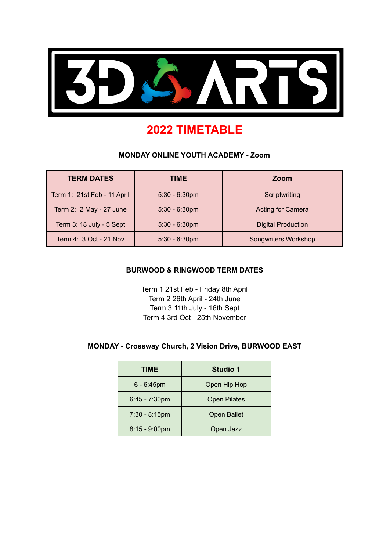

# **2022 TIMETABLE**

#### **MONDAY ONLINE YOUTH ACADEMY - Zoom**

| <b>TERM DATES</b>           | TIME.            | Zoom                      |  |
|-----------------------------|------------------|---------------------------|--|
| Term 1: 21st Feb - 11 April | $5:30 - 6:30$ pm | Scriptwriting             |  |
| Term 2: 2 May - 27 June     | $5:30 - 6:30$ pm | <b>Acting for Camera</b>  |  |
| Term 3: 18 July - 5 Sept    | $5:30 - 6:30$ pm | <b>Digital Production</b> |  |
| Term 4: 3 Oct - 21 Nov      | $5:30 - 6:30$ pm | Songwriters Workshop      |  |

#### **BURWOOD & RINGWOOD TERM DATES**

Term 1 21st Feb - Friday 8th April Term 2 26th April - 24th June Term 3 11th July - 16th Sept Term 4 3rd Oct - 25th November

### **MONDAY - Crossway Church, 2 Vision Drive, BURWOOD EAST**

| TIME             | <b>Studio 1</b>     |  |
|------------------|---------------------|--|
| $6 - 6:45$ pm    | Open Hip Hop        |  |
| $6:45 - 7:30$ pm | <b>Open Pilates</b> |  |
| $7:30 - 8:15$ pm | <b>Open Ballet</b>  |  |
| $8:15 - 9:00$ pm | Open Jazz           |  |